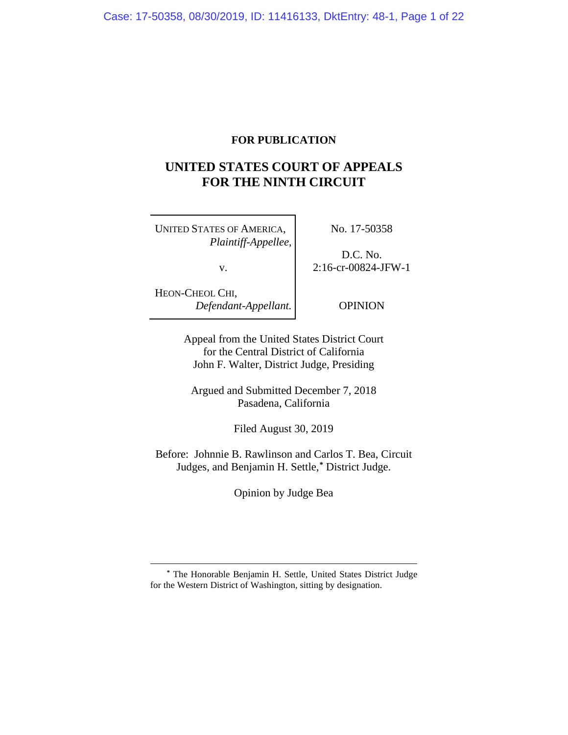## **FOR PUBLICATION**

# **UNITED STATES COURT OF APPEALS FOR THE NINTH CIRCUIT**

UNITED STATES OF AMERICA, *Plaintiff-Appellee*,

v.

No. 17-50358

D.C. No. 2:16-cr-00824-JFW-1

HEON-CHEOL CHI, *Defendant-Appellant.*

OPINION

Appeal from the United States District Court for the Central District of California John F. Walter, District Judge, Presiding

Argued and Submitted December 7, 2018 Pasadena, California

Filed August 30, 2019

Before: Johnnie B. Rawlinson and Carlos T. Bea, Circuit Judges, and Benjamin H. Settle,**[\\*](#page-0-0)** District Judge.

Opinion by Judge Bea

<span id="page-0-0"></span>**<sup>\*</sup>** The Honorable Benjamin H. Settle, United States District Judge for the Western District of Washington, sitting by designation.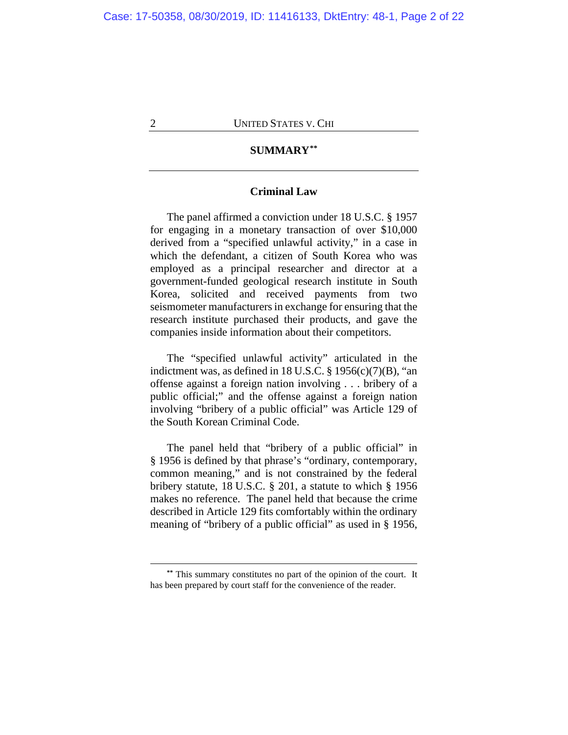## **SUMMARY[\\*\\*](#page-1-0)**

## **Criminal Law**

The panel affirmed a conviction under 18 U.S.C. § 1957 for engaging in a monetary transaction of over \$10,000 derived from a "specified unlawful activity," in a case in which the defendant, a citizen of South Korea who was employed as a principal researcher and director at a government-funded geological research institute in South Korea, solicited and received payments from two seismometer manufacturers in exchange for ensuring that the research institute purchased their products, and gave the companies inside information about their competitors.

The "specified unlawful activity" articulated in the indictment was, as defined in 18 U.S.C.  $\S$  1956(c)(7)(B), "an offense against a foreign nation involving . . . bribery of a public official;" and the offense against a foreign nation involving "bribery of a public official" was Article 129 of the South Korean Criminal Code.

The panel held that "bribery of a public official" in § 1956 is defined by that phrase's "ordinary, contemporary, common meaning," and is not constrained by the federal bribery statute, 18 U.S.C. § 201, a statute to which § 1956 makes no reference. The panel held that because the crime described in Article 129 fits comfortably within the ordinary meaning of "bribery of a public official" as used in § 1956,

<span id="page-1-0"></span>**<sup>\*\*</sup>** This summary constitutes no part of the opinion of the court. It has been prepared by court staff for the convenience of the reader.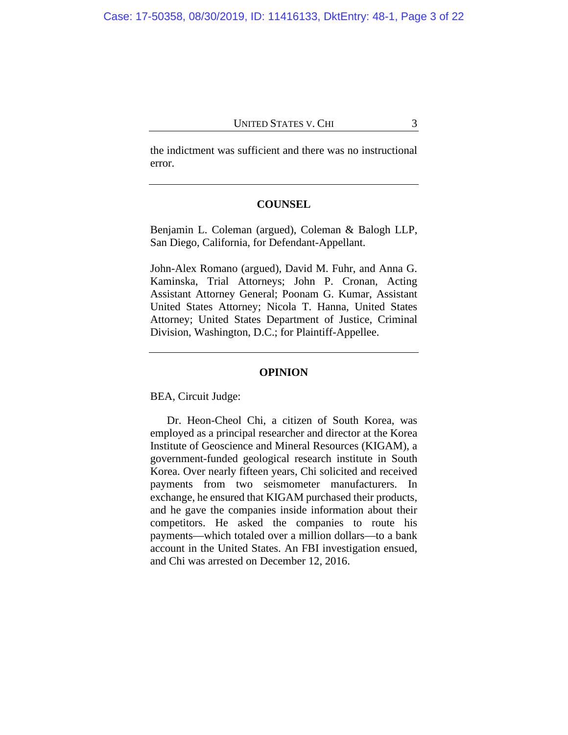the indictment was sufficient and there was no instructional error.

## **COUNSEL**

Benjamin L. Coleman (argued), Coleman & Balogh LLP, San Diego, California, for Defendant-Appellant.

John-Alex Romano (argued), David M. Fuhr, and Anna G. Kaminska, Trial Attorneys; John P. Cronan, Acting Assistant Attorney General; Poonam G. Kumar, Assistant United States Attorney; Nicola T. Hanna, United States Attorney; United States Department of Justice, Criminal Division, Washington, D.C.; for Plaintiff-Appellee.

#### **OPINION**

BEA, Circuit Judge:

Dr. Heon-Cheol Chi, a citizen of South Korea, was employed as a principal researcher and director at the Korea Institute of Geoscience and Mineral Resources (KIGAM), a government-funded geological research institute in South Korea. Over nearly fifteen years, Chi solicited and received payments from two seismometer manufacturers. In exchange, he ensured that KIGAM purchased their products, and he gave the companies inside information about their competitors. He asked the companies to route his payments—which totaled over a million dollars—to a bank account in the United States. An FBI investigation ensued, and Chi was arrested on December 12, 2016.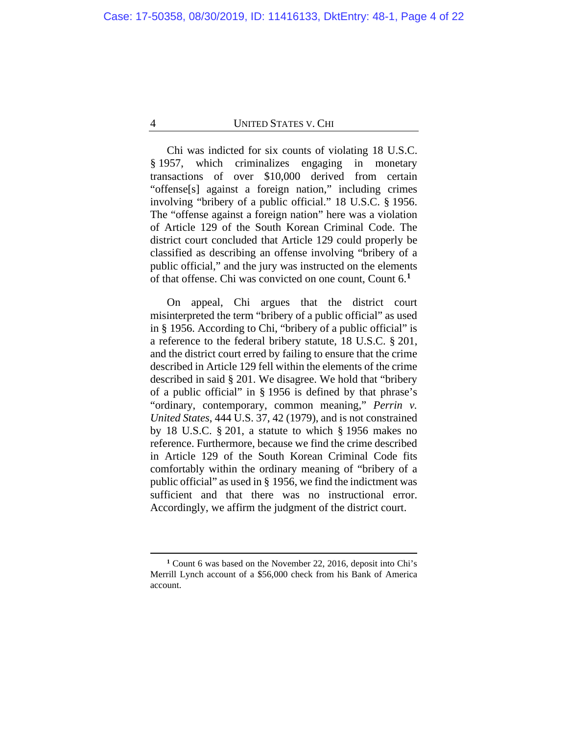Chi was indicted for six counts of violating 18 U.S.C. § 1957, which criminalizes engaging in monetary transactions of over \$10,000 derived from certain "offense[s] against a foreign nation," including crimes involving "bribery of a public official." 18 U.S.C. § 1956. The "offense against a foreign nation" here was a violation of Article 129 of the South Korean Criminal Code. The district court concluded that Article 129 could properly be classified as describing an offense involving "bribery of a public official," and the jury was instructed on the elements of that offense. Chi was convicted on one count, Count 6.**[1](#page-3-0)**

On appeal, Chi argues that the district court misinterpreted the term "bribery of a public official" as used in § 1956. According to Chi, "bribery of a public official" is a reference to the federal bribery statute, 18 U.S.C. § 201, and the district court erred by failing to ensure that the crime described in Article 129 fell within the elements of the crime described in said § 201. We disagree. We hold that "bribery of a public official" in § 1956 is defined by that phrase's "ordinary, contemporary, common meaning," *Perrin v. United States*, 444 U.S. 37, 42 (1979), and is not constrained by 18 U.S.C. § 201, a statute to which § 1956 makes no reference. Furthermore, because we find the crime described in Article 129 of the South Korean Criminal Code fits comfortably within the ordinary meaning of "bribery of a public official" as used in § 1956, we find the indictment was sufficient and that there was no instructional error. Accordingly, we affirm the judgment of the district court.

<span id="page-3-0"></span>**<sup>1</sup>** Count 6 was based on the November 22, 2016, deposit into Chi's Merrill Lynch account of a \$56,000 check from his Bank of America account.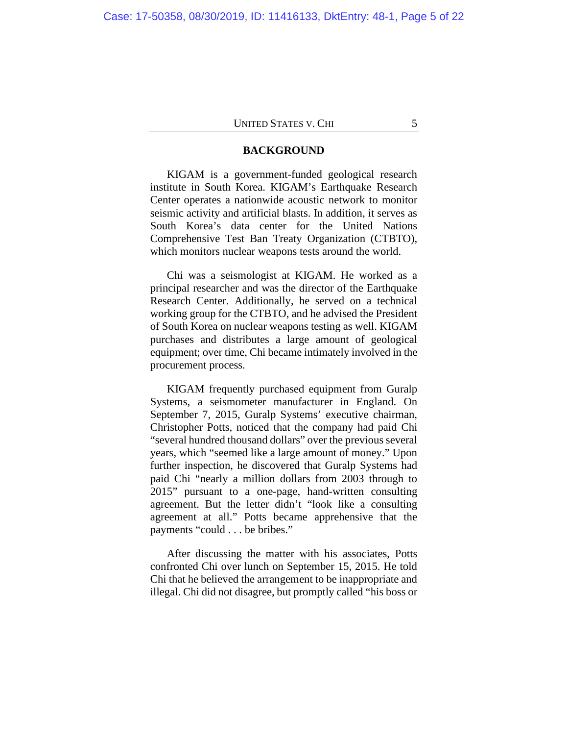#### **BACKGROUND**

KIGAM is a government-funded geological research institute in South Korea. KIGAM's Earthquake Research Center operates a nationwide acoustic network to monitor seismic activity and artificial blasts. In addition, it serves as South Korea's data center for the United Nations Comprehensive Test Ban Treaty Organization (CTBTO), which monitors nuclear weapons tests around the world.

Chi was a seismologist at KIGAM. He worked as a principal researcher and was the director of the Earthquake Research Center. Additionally, he served on a technical working group for the CTBTO, and he advised the President of South Korea on nuclear weapons testing as well. KIGAM purchases and distributes a large amount of geological equipment; over time, Chi became intimately involved in the procurement process.

KIGAM frequently purchased equipment from Guralp Systems, a seismometer manufacturer in England. On September 7, 2015, Guralp Systems' executive chairman, Christopher Potts, noticed that the company had paid Chi "several hundred thousand dollars" over the previous several years, which "seemed like a large amount of money." Upon further inspection, he discovered that Guralp Systems had paid Chi "nearly a million dollars from 2003 through to 2015" pursuant to a one-page, hand-written consulting agreement. But the letter didn't "look like a consulting agreement at all." Potts became apprehensive that the payments "could . . . be bribes."

After discussing the matter with his associates, Potts confronted Chi over lunch on September 15, 2015. He told Chi that he believed the arrangement to be inappropriate and illegal. Chi did not disagree, but promptly called "his boss or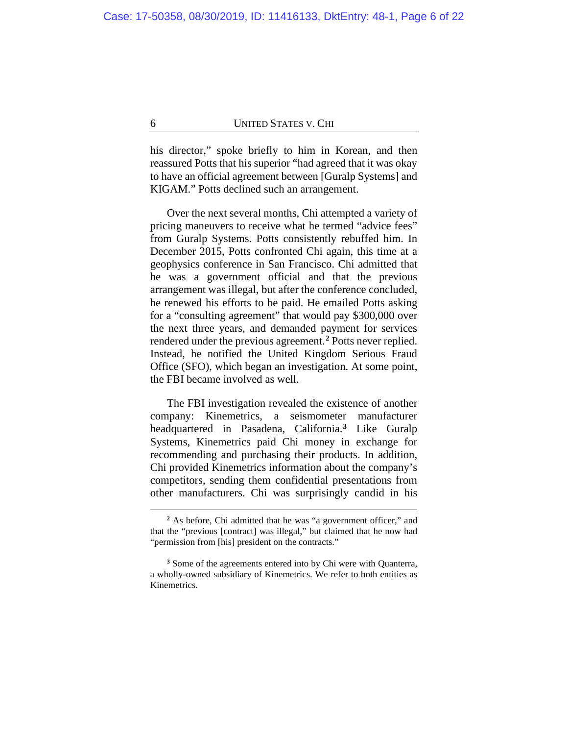his director," spoke briefly to him in Korean, and then reassured Potts that his superior "had agreed that it was okay to have an official agreement between [Guralp Systems] and KIGAM." Potts declined such an arrangement.

Over the next several months, Chi attempted a variety of pricing maneuvers to receive what he termed "advice fees" from Guralp Systems. Potts consistently rebuffed him. In December 2015, Potts confronted Chi again, this time at a geophysics conference in San Francisco. Chi admitted that he was a government official and that the previous arrangement was illegal, but after the conference concluded, he renewed his efforts to be paid. He emailed Potts asking for a "consulting agreement" that would pay \$300,000 over the next three years, and demanded payment for services rendered under the previous agreement.**[2](#page-5-0)** Potts never replied. Instead, he notified the United Kingdom Serious Fraud Office (SFO), which began an investigation. At some point, the FBI became involved as well.

The FBI investigation revealed the existence of another company: Kinemetrics, a seismometer manufacturer headquartered in Pasadena, California.**[3](#page-5-1)** Like Guralp Systems, Kinemetrics paid Chi money in exchange for recommending and purchasing their products. In addition, Chi provided Kinemetrics information about the company's competitors, sending them confidential presentations from other manufacturers. Chi was surprisingly candid in his

**<sup>2</sup>** As before, Chi admitted that he was "a government officer," and that the "previous [contract] was illegal," but claimed that he now had "permission from [his] president on the contracts."

<span id="page-5-1"></span><span id="page-5-0"></span>**<sup>3</sup>** Some of the agreements entered into by Chi were with Quanterra, a wholly-owned subsidiary of Kinemetrics. We refer to both entities as Kinemetrics.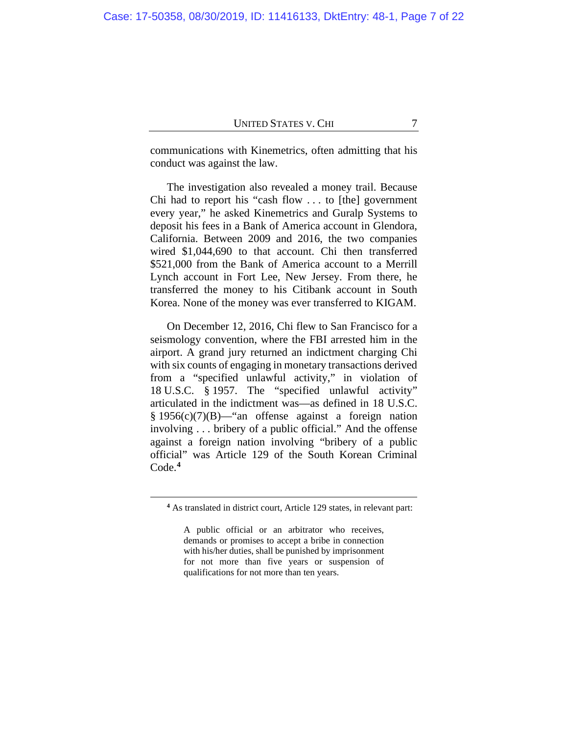communications with Kinemetrics, often admitting that his conduct was against the law.

The investigation also revealed a money trail. Because Chi had to report his "cash flow . . . to [the] government every year," he asked Kinemetrics and Guralp Systems to deposit his fees in a Bank of America account in Glendora, California. Between 2009 and 2016, the two companies wired \$1,044,690 to that account. Chi then transferred \$521,000 from the Bank of America account to a Merrill Lynch account in Fort Lee, New Jersey. From there, he transferred the money to his Citibank account in South Korea. None of the money was ever transferred to KIGAM.

On December 12, 2016, Chi flew to San Francisco for a seismology convention, where the FBI arrested him in the airport. A grand jury returned an indictment charging Chi with six counts of engaging in monetary transactions derived from a "specified unlawful activity," in violation of 18 U.S.C. § 1957. The "specified unlawful activity" articulated in the indictment was—as defined in 18 U.S.C. § 1956(c)(7)(B)—"an offense against a foreign nation involving . . . bribery of a public official." And the offense against a foreign nation involving "bribery of a public official" was Article 129 of the South Korean Criminal Code.**[4](#page-6-0)**

<span id="page-6-0"></span>**<sup>4</sup>** As translated in district court, Article 129 states, in relevant part:

A public official or an arbitrator who receives, demands or promises to accept a bribe in connection with his/her duties, shall be punished by imprisonment for not more than five years or suspension of qualifications for not more than ten years.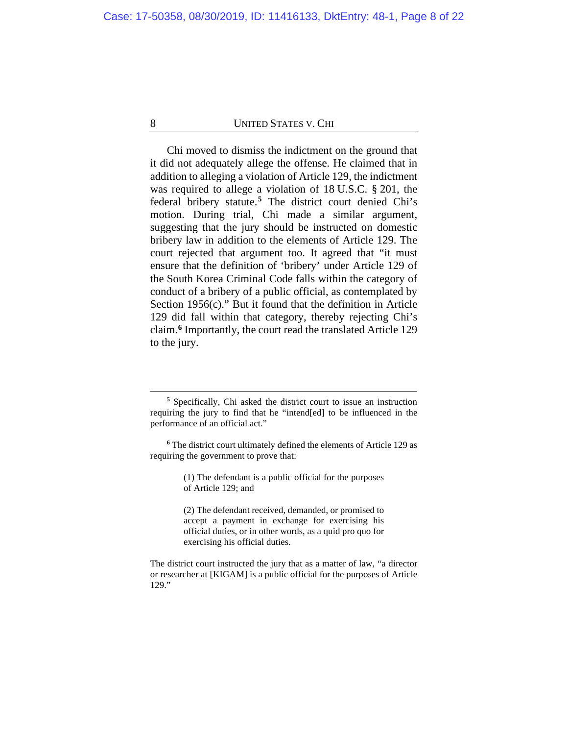Chi moved to dismiss the indictment on the ground that it did not adequately allege the offense. He claimed that in addition to alleging a violation of Article 129, the indictment was required to allege a violation of 18 U.S.C. § 201, the federal bribery statute.**[5](#page-7-0)** The district court denied Chi's motion. During trial, Chi made a similar argument, suggesting that the jury should be instructed on domestic bribery law in addition to the elements of Article 129. The court rejected that argument too. It agreed that "it must ensure that the definition of 'bribery' under Article 129 of the South Korea Criminal Code falls within the category of conduct of a bribery of a public official, as contemplated by Section 1956(c)." But it found that the definition in Article 129 did fall within that category, thereby rejecting Chi's claim.**[6](#page-7-1)** Importantly, the court read the translated Article 129 to the jury.

**<sup>5</sup>** Specifically, Chi asked the district court to issue an instruction requiring the jury to find that he "intend[ed] to be influenced in the performance of an official act."

<span id="page-7-0"></span>**<sup>6</sup>** The district court ultimately defined the elements of Article 129 as requiring the government to prove that:

<sup>(1)</sup> The defendant is a public official for the purposes of Article 129; and

<sup>(2)</sup> The defendant received, demanded, or promised to accept a payment in exchange for exercising his official duties, or in other words, as a quid pro quo for exercising his official duties.

<span id="page-7-1"></span>The district court instructed the jury that as a matter of law, "a director or researcher at [KIGAM] is a public official for the purposes of Article 129."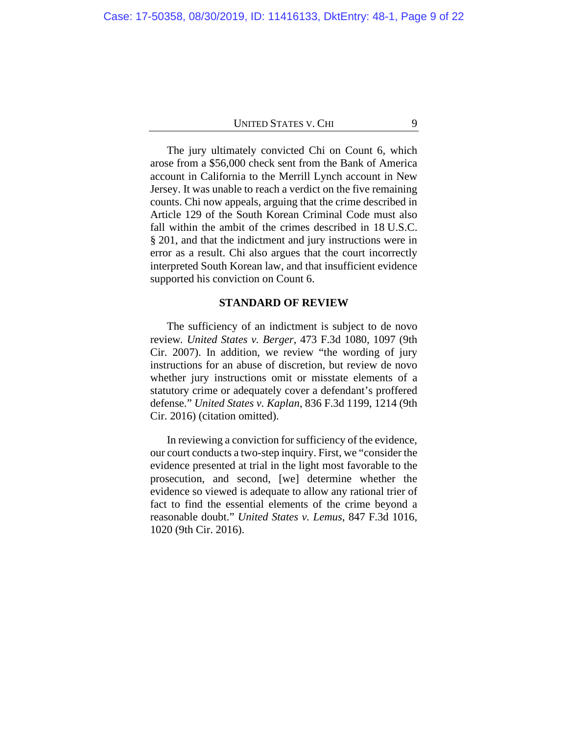The jury ultimately convicted Chi on Count 6, which arose from a \$56,000 check sent from the Bank of America account in California to the Merrill Lynch account in New Jersey. It was unable to reach a verdict on the five remaining counts. Chi now appeals, arguing that the crime described in Article 129 of the South Korean Criminal Code must also fall within the ambit of the crimes described in 18 U.S.C. § 201, and that the indictment and jury instructions were in error as a result. Chi also argues that the court incorrectly interpreted South Korean law, and that insufficient evidence supported his conviction on Count 6.

#### **STANDARD OF REVIEW**

The sufficiency of an indictment is subject to de novo review*. United States v. Berger*, 473 F.3d 1080, 1097 (9th Cir. 2007). In addition, we review "the wording of jury instructions for an abuse of discretion, but review de novo whether jury instructions omit or misstate elements of a statutory crime or adequately cover a defendant's proffered defense." *United States v. Kaplan*, 836 F.3d 1199, 1214 (9th Cir. 2016) (citation omitted).

In reviewing a conviction for sufficiency of the evidence, our court conducts a two-step inquiry. First, we "consider the evidence presented at trial in the light most favorable to the prosecution, and second, [we] determine whether the evidence so viewed is adequate to allow any rational trier of fact to find the essential elements of the crime beyond a reasonable doubt." *United States v. Lemus*, 847 F.3d 1016, 1020 (9th Cir. 2016).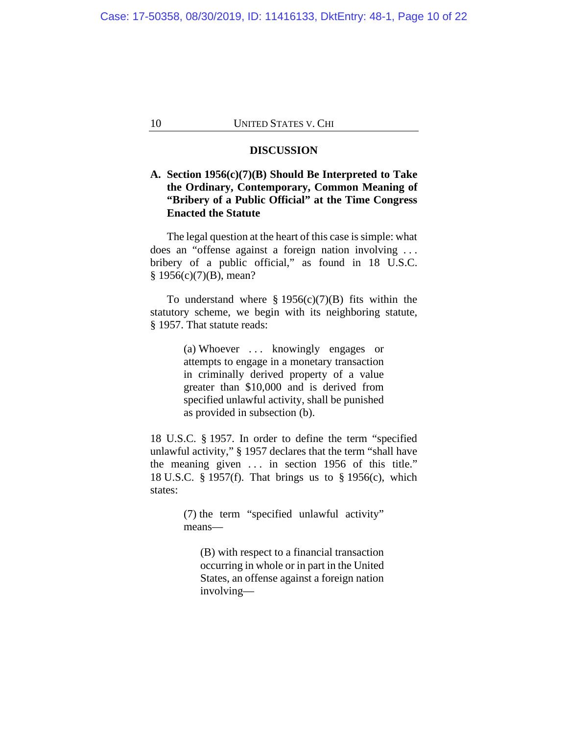#### **DISCUSSION**

## **A. Section 1956(c)(7)(B) Should Be Interpreted to Take the Ordinary, Contemporary, Common Meaning of "Bribery of a Public Official" at the Time Congress Enacted the Statute**

The legal question at the heart of this case is simple: what does an "offense against a foreign nation involving . . . bribery of a public official," as found in 18 U.S.C. § 1956(c)(7)(B), mean?

To understand where  $\S 1956(c)(7)(B)$  fits within the statutory scheme, we begin with its neighboring statute, § 1957. That statute reads:

> (a) Whoever ... knowingly engages or attempts to engage in a monetary transaction in criminally derived property of a value greater than \$10,000 and is derived from specified unlawful activity, shall be punished as provided in subsection (b).

18 U.S.C. § 1957. In order to define the term "specified unlawful activity," § 1957 declares that the term "shall have the meaning given  $\ldots$  in section 1956 of this title." 18 U.S.C. § 1957(f). That brings us to § 1956(c), which states:

> (7) the term "specified unlawful activity" means—

(B) with respect to a financial transaction occurring in whole or in part in the United States, an offense against a foreign nation involving—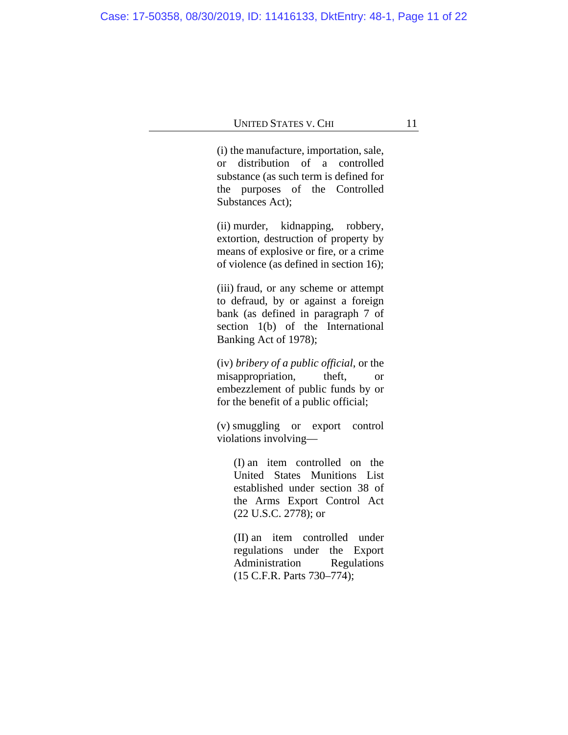(i) the manufacture, importation, sale, or distribution of a controlled substance (as such term is defined for the purposes of the Controlled Substances Act);

(ii) murder, kidnapping, robbery, extortion, destruction of property by means of explosive or fire, or a crime of violence (as defined in section 16);

(iii) fraud, or any scheme or attempt to defraud, by or against a foreign bank (as defined in paragraph 7 of section 1(b) of the International Banking Act of 1978);

(iv) *bribery of a public official*, or the misappropriation, theft, or embezzlement of public funds by or for the benefit of a public official;

(v) smuggling or export control violations involving—

(I) an item controlled on the United States Munitions List established under section 38 of the Arms Export Control Act (22 U.S.C. 2778); or

(II) an item controlled under regulations under the Export Administration Regulations (15 C.F.R. Parts 730–774);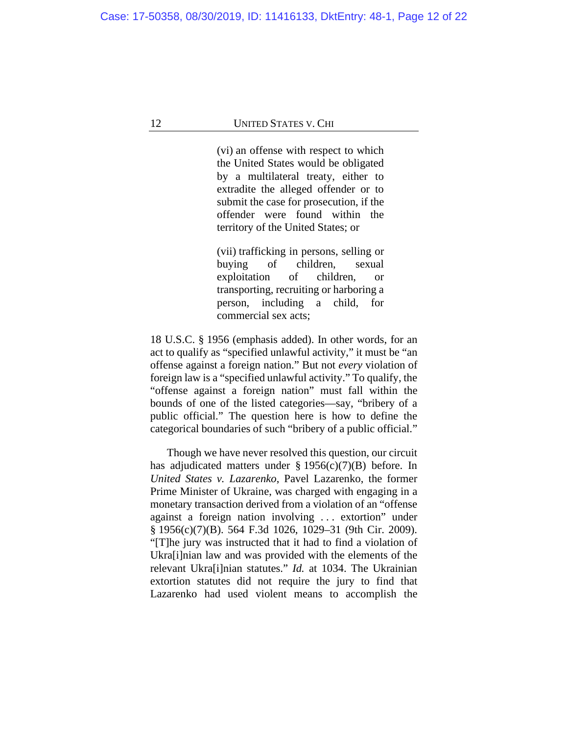(vi) an offense with respect to which the United States would be obligated by a multilateral treaty, either to extradite the alleged offender or to submit the case for prosecution, if the offender were found within the territory of the United States; or

(vii) trafficking in persons, selling or buying of children, sexual exploitation of children, or transporting, recruiting or harboring a person, including a child, for commercial sex acts;

18 U.S.C. § 1956 (emphasis added). In other words, for an act to qualify as "specified unlawful activity," it must be "an offense against a foreign nation." But not *every* violation of foreign law is a "specified unlawful activity." To qualify, the "offense against a foreign nation" must fall within the bounds of one of the listed categories—say, "bribery of a public official." The question here is how to define the categorical boundaries of such "bribery of a public official."

Though we have never resolved this question, our circuit has adjudicated matters under § 1956(c)(7)(B) before. In *United States v. Lazarenko*, Pavel Lazarenko, the former Prime Minister of Ukraine, was charged with engaging in a monetary transaction derived from a violation of an "offense against a foreign nation involving . . . extortion" under § 1956(c)(7)(B). 564 F.3d 1026, 1029–31 (9th Cir. 2009). "[T]he jury was instructed that it had to find a violation of Ukra[i]nian law and was provided with the elements of the relevant Ukra[i]nian statutes." *Id.* at 1034. The Ukrainian extortion statutes did not require the jury to find that Lazarenko had used violent means to accomplish the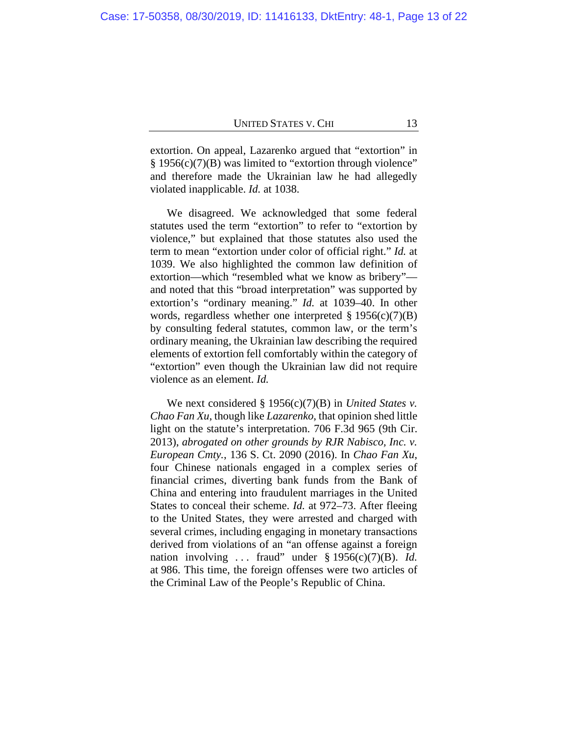extortion. On appeal, Lazarenko argued that "extortion" in § 1956(c)(7)(B) was limited to "extortion through violence" and therefore made the Ukrainian law he had allegedly violated inapplicable. *Id.* at 1038.

We disagreed. We acknowledged that some federal statutes used the term "extortion" to refer to "extortion by violence," but explained that those statutes also used the term to mean "extortion under color of official right." *Id.* at 1039. We also highlighted the common law definition of extortion—which "resembled what we know as bribery" and noted that this "broad interpretation" was supported by extortion's "ordinary meaning." *Id.* at 1039–40. In other words, regardless whether one interpreted  $\S 1956(c)(7)(B)$ by consulting federal statutes, common law, or the term's ordinary meaning, the Ukrainian law describing the required elements of extortion fell comfortably within the category of "extortion" even though the Ukrainian law did not require violence as an element. *Id.*

We next considered § 1956(c)(7)(B) in *United States v. Chao Fan Xu*, though like *Lazarenko*, that opinion shed little light on the statute's interpretation. 706 F.3d 965 (9th Cir. 2013), *abrogated on other grounds by RJR Nabisco, Inc. v. European Cmty.*, 136 S. Ct. 2090 (2016). In *Chao Fan Xu*, four Chinese nationals engaged in a complex series of financial crimes, diverting bank funds from the Bank of China and entering into fraudulent marriages in the United States to conceal their scheme. *Id.* at 972–73. After fleeing to the United States, they were arrested and charged with several crimes, including engaging in monetary transactions derived from violations of an "an offense against a foreign nation involving . . . fraud" under § 1956(c)(7)(B). *Id.* at 986. This time, the foreign offenses were two articles of the Criminal Law of the People's Republic of China.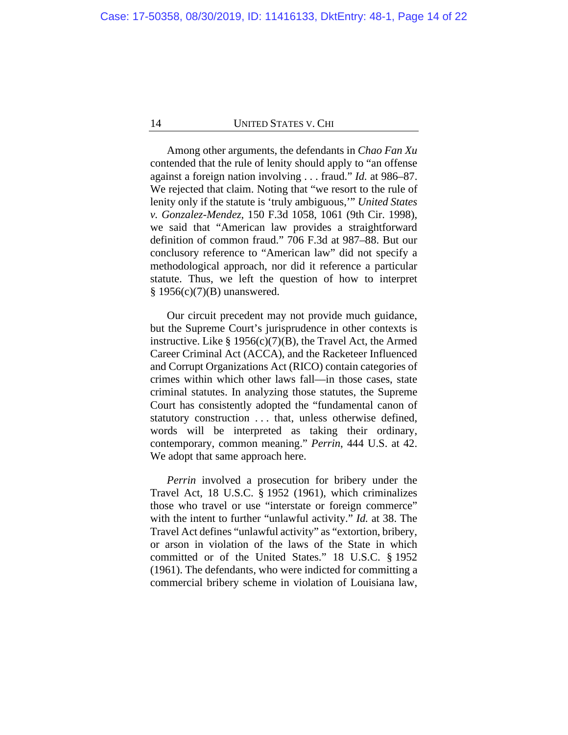Among other arguments, the defendants in *Chao Fan Xu*  contended that the rule of lenity should apply to "an offense against a foreign nation involving . . . fraud." *Id.* at 986–87. We rejected that claim. Noting that "we resort to the rule of lenity only if the statute is 'truly ambiguous,'" *United States v. Gonzalez-Mendez*, 150 F.3d 1058, 1061 (9th Cir. 1998), we said that "American law provides a straightforward definition of common fraud." 706 F.3d at 987–88. But our conclusory reference to "American law" did not specify a methodological approach, nor did it reference a particular statute. Thus, we left the question of how to interpret § 1956(c)(7)(B) unanswered.

Our circuit precedent may not provide much guidance, but the Supreme Court's jurisprudence in other contexts is instructive. Like  $\S 1956(c)(7)(B)$ , the Travel Act, the Armed Career Criminal Act (ACCA), and the Racketeer Influenced and Corrupt Organizations Act (RICO) contain categories of crimes within which other laws fall—in those cases, state criminal statutes. In analyzing those statutes, the Supreme Court has consistently adopted the "fundamental canon of statutory construction . . . that, unless otherwise defined, words will be interpreted as taking their ordinary, contemporary, common meaning." *Perrin*, 444 U.S. at 42. We adopt that same approach here.

*Perrin* involved a prosecution for bribery under the Travel Act, 18 U.S.C. § 1952 (1961), which criminalizes those who travel or use "interstate or foreign commerce" with the intent to further "unlawful activity." *Id.* at 38. The Travel Act defines "unlawful activity" as "extortion, bribery, or arson in violation of the laws of the State in which committed or of the United States." 18 U.S.C. § 1952 (1961). The defendants, who were indicted for committing a commercial bribery scheme in violation of Louisiana law,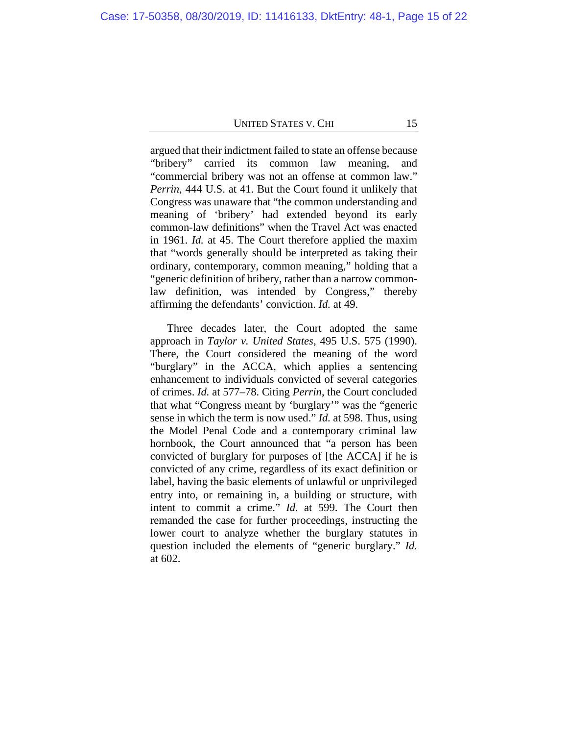argued that their indictment failed to state an offense because "bribery" carried its common law meaning, and "commercial bribery was not an offense at common law." *Perrin*, 444 U.S. at 41. But the Court found it unlikely that Congress was unaware that "the common understanding and meaning of 'bribery' had extended beyond its early common-law definitions" when the Travel Act was enacted in 1961. *Id.* at 45. The Court therefore applied the maxim that "words generally should be interpreted as taking their ordinary, contemporary, common meaning," holding that a "generic definition of bribery, rather than a narrow commonlaw definition, was intended by Congress," thereby affirming the defendants' conviction. *Id.* at 49.

Three decades later, the Court adopted the same approach in *Taylor v. United States*, 495 U.S. 575 (1990). There, the Court considered the meaning of the word "burglary" in the ACCA, which applies a sentencing enhancement to individuals convicted of several categories of crimes. *Id.* at 577–78. Citing *Perrin*, the Court concluded that what "Congress meant by 'burglary'" was the "generic sense in which the term is now used." *Id.* at 598. Thus, using the Model Penal Code and a contemporary criminal law hornbook, the Court announced that "a person has been convicted of burglary for purposes of [the ACCA] if he is convicted of any crime, regardless of its exact definition or label, having the basic elements of unlawful or unprivileged entry into, or remaining in, a building or structure, with intent to commit a crime." *Id.* at 599. The Court then remanded the case for further proceedings, instructing the lower court to analyze whether the burglary statutes in question included the elements of "generic burglary." *Id.* at 602.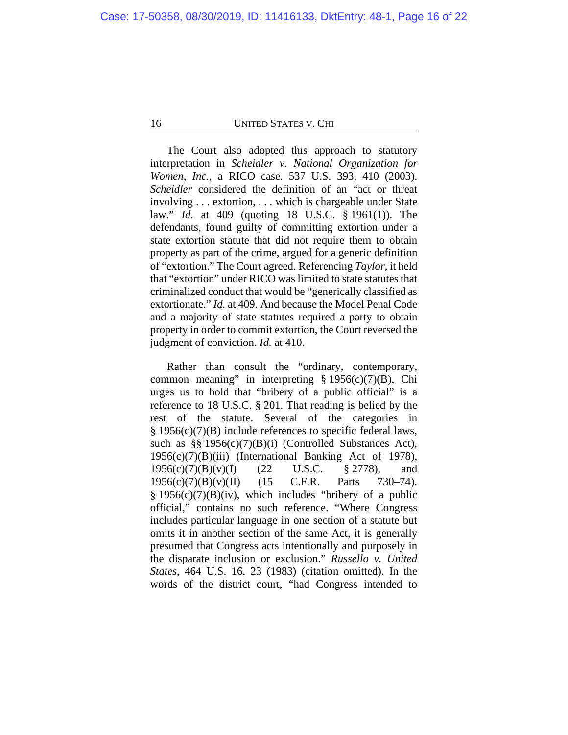The Court also adopted this approach to statutory interpretation in *Scheidler v. National Organization for Women, Inc.*, a RICO case. 537 U.S. 393, 410 (2003). *Scheidler* considered the definition of an "act or threat involving . . . extortion, . . . which is chargeable under State law." *Id.* at 409 (quoting 18 U.S.C. § 1961(1)). The defendants, found guilty of committing extortion under a state extortion statute that did not require them to obtain property as part of the crime, argued for a generic definition of "extortion." The Court agreed. Referencing *Taylor*, it held that "extortion" under RICO was limited to state statutes that criminalized conduct that would be "generically classified as extortionate." *Id.* at 409. And because the Model Penal Code and a majority of state statutes required a party to obtain property in order to commit extortion, the Court reversed the judgment of conviction. *Id.* at 410.

Rather than consult the "ordinary, contemporary, common meaning" in interpreting  $\S 1956(c)(7)(B)$ , Chi urges us to hold that "bribery of a public official" is a reference to 18 U.S.C. § 201. That reading is belied by the rest of the statute. Several of the categories in § 1956(c)(7)(B) include references to specific federal laws, such as §§ 1956(c)(7)(B)(i) (Controlled Substances Act),  $1956(c)(7)(B)(iii)$  (International Banking Act of 1978), 1956(c)(7)(B)(v)(I) (22 U.S.C. § 2778), and 1956(c)(7)(B)(v)(II) (15 C.F.R. Parts 730–74).  $§$  1956(c)(7)(B)(iv), which includes "bribery of a public official," contains no such reference. "Where Congress includes particular language in one section of a statute but omits it in another section of the same Act, it is generally presumed that Congress acts intentionally and purposely in the disparate inclusion or exclusion." *Russello v. United States*, 464 U.S. 16, 23 (1983) (citation omitted). In the words of the district court, "had Congress intended to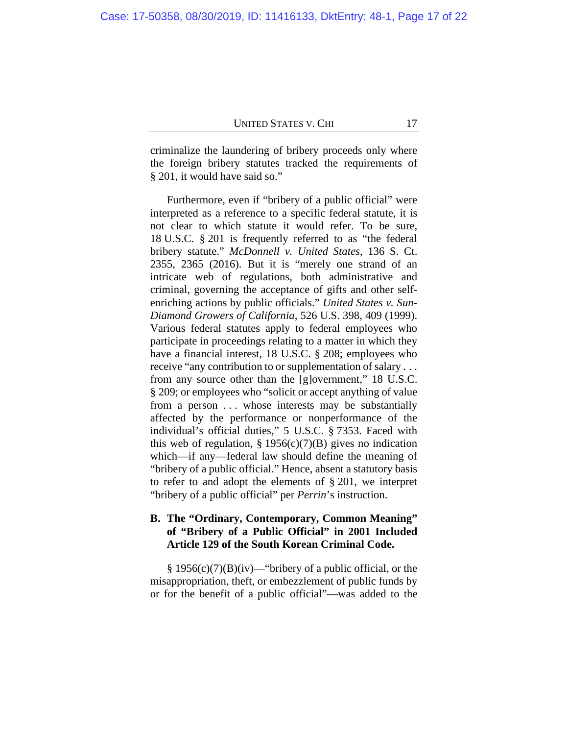criminalize the laundering of bribery proceeds only where the foreign bribery statutes tracked the requirements of § 201, it would have said so."

Furthermore, even if "bribery of a public official" were interpreted as a reference to a specific federal statute, it is not clear to which statute it would refer. To be sure, 18 U.S.C. § 201 is frequently referred to as "the federal bribery statute." *McDonnell v. United States*, 136 S. Ct. 2355, 2365 (2016). But it is "merely one strand of an intricate web of regulations, both administrative and criminal, governing the acceptance of gifts and other selfenriching actions by public officials." *United States v. Sun-Diamond Growers of California*, 526 U.S. 398, 409 (1999). Various federal statutes apply to federal employees who participate in proceedings relating to a matter in which they have a financial interest, 18 U.S.C. § 208; employees who receive "any contribution to or supplementation of salary . . . from any source other than the [g]overnment," 18 U.S.C. § 209; or employees who "solicit or accept anything of value from a person ... whose interests may be substantially affected by the performance or nonperformance of the individual's official duties," 5 U.S.C. § 7353. Faced with this web of regulation,  $\S 1956(c)(7)(B)$  gives no indication which—if any—federal law should define the meaning of "bribery of a public official." Hence, absent a statutory basis to refer to and adopt the elements of § 201, we interpret "bribery of a public official" per *Perrin*'s instruction.

## **B. The "Ordinary, Contemporary, Common Meaning" of "Bribery of a Public Official" in 2001 Included Article 129 of the South Korean Criminal Code.**

 $§ 1956(c)(7)(B)(iv)$ —"bribery of a public official, or the misappropriation, theft, or embezzlement of public funds by or for the benefit of a public official"—was added to the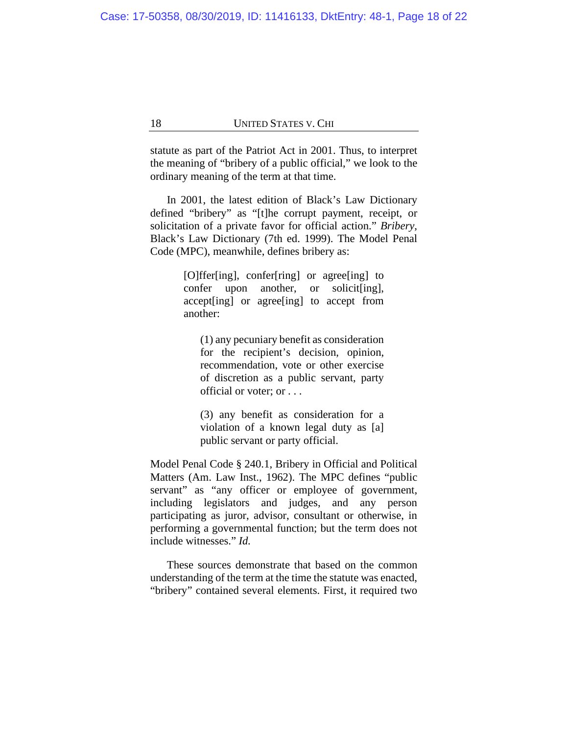statute as part of the Patriot Act in 2001. Thus, to interpret the meaning of "bribery of a public official," we look to the ordinary meaning of the term at that time.

In 2001, the latest edition of Black's Law Dictionary defined "bribery" as "[t]he corrupt payment, receipt, or solicitation of a private favor for official action." *Bribery*, Black's Law Dictionary (7th ed. 1999). The Model Penal Code (MPC), meanwhile, defines bribery as:

> [O]ffer[ing], confer[ring] or agree[ing] to confer upon another, or solicit[ing], accept[ing] or agree[ing] to accept from another:

(1) any pecuniary benefit as consideration for the recipient's decision, opinion, recommendation, vote or other exercise of discretion as a public servant, party official or voter; or . . .

(3) any benefit as consideration for a violation of a known legal duty as [a] public servant or party official.

Model Penal Code § 240.1, Bribery in Official and Political Matters (Am. Law Inst., 1962). The MPC defines "public servant" as "any officer or employee of government, including legislators and judges, and any person participating as juror, advisor, consultant or otherwise, in performing a governmental function; but the term does not include witnesses." *Id.*

These sources demonstrate that based on the common understanding of the term at the time the statute was enacted, "bribery" contained several elements. First, it required two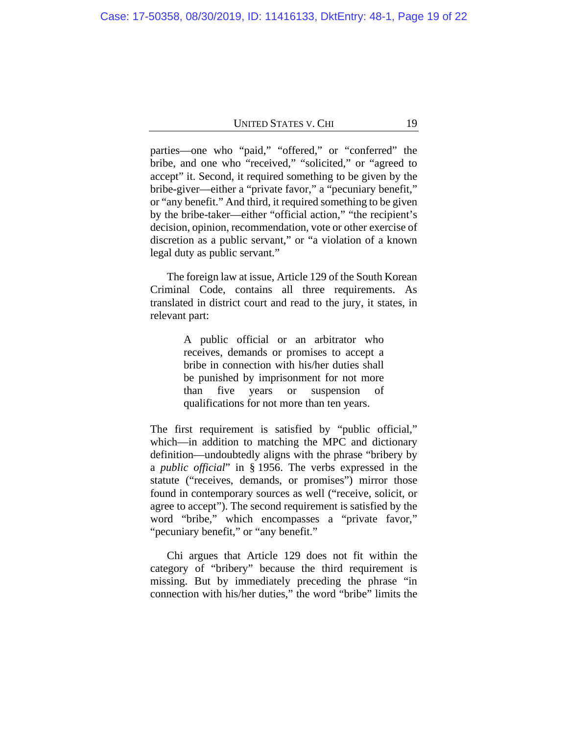parties—one who "paid," "offered," or "conferred" the bribe, and one who "received," "solicited," or "agreed to accept" it. Second, it required something to be given by the bribe-giver—either a "private favor," a "pecuniary benefit," or "any benefit." And third, it required something to be given by the bribe-taker—either "official action," "the recipient's decision, opinion, recommendation, vote or other exercise of discretion as a public servant," or "a violation of a known legal duty as public servant."

The foreign law at issue, Article 129 of the South Korean Criminal Code, contains all three requirements. As translated in district court and read to the jury, it states, in relevant part:

> A public official or an arbitrator who receives, demands or promises to accept a bribe in connection with his/her duties shall be punished by imprisonment for not more than five years or suspension of qualifications for not more than ten years.

The first requirement is satisfied by "public official," which—in addition to matching the MPC and dictionary definition—undoubtedly aligns with the phrase "bribery by a *public official*" in § 1956. The verbs expressed in the statute ("receives, demands, or promises") mirror those found in contemporary sources as well ("receive, solicit, or agree to accept"). The second requirement is satisfied by the word "bribe," which encompasses a "private favor," "pecuniary benefit," or "any benefit."

Chi argues that Article 129 does not fit within the category of "bribery" because the third requirement is missing. But by immediately preceding the phrase "in connection with his/her duties," the word "bribe" limits the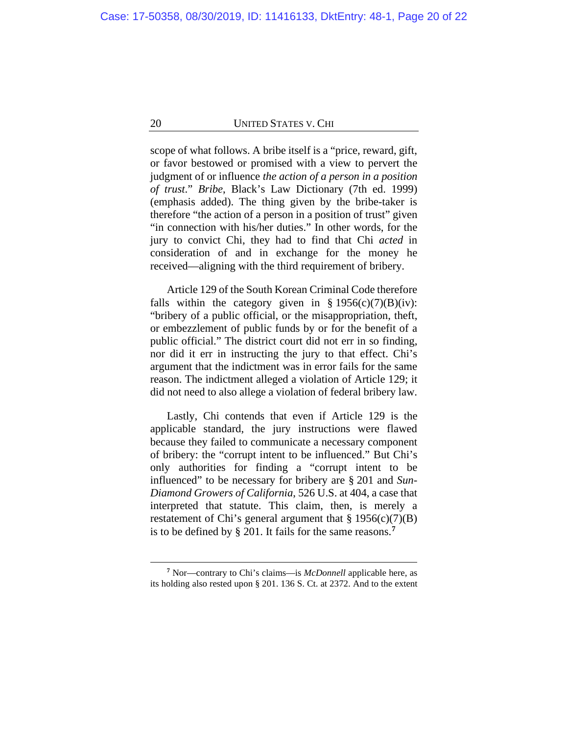scope of what follows. A bribe itself is a "price, reward, gift, or favor bestowed or promised with a view to pervert the judgment of or influence *the action of a person in a position of trust*." *Bribe*, Black's Law Dictionary (7th ed. 1999) (emphasis added). The thing given by the bribe-taker is therefore "the action of a person in a position of trust" given "in connection with his/her duties." In other words, for the jury to convict Chi, they had to find that Chi *acted* in consideration of and in exchange for the money he received—aligning with the third requirement of bribery.

Article 129 of the South Korean Criminal Code therefore falls within the category given in  $\S 1956(c)(7)(B)(iv)$ : "bribery of a public official, or the misappropriation, theft, or embezzlement of public funds by or for the benefit of a public official." The district court did not err in so finding, nor did it err in instructing the jury to that effect. Chi's argument that the indictment was in error fails for the same reason. The indictment alleged a violation of Article 129; it did not need to also allege a violation of federal bribery law.

Lastly, Chi contends that even if Article 129 is the applicable standard, the jury instructions were flawed because they failed to communicate a necessary component of bribery: the "corrupt intent to be influenced." But Chi's only authorities for finding a "corrupt intent to be influenced" to be necessary for bribery are § 201 and *Sun-Diamond Growers of California*, 526 U.S. at 404, a case that interpreted that statute. This claim, then, is merely a restatement of Chi's general argument that  $\S 1956(c)(7)(B)$ is to be defined by § 201. It fails for the same reasons.**[7](#page-19-0)**

<span id="page-19-0"></span>**<sup>7</sup>** Nor—contrary to Chi's claims—is *McDonnell* applicable here, as its holding also rested upon § 201. 136 S. Ct. at 2372. And to the extent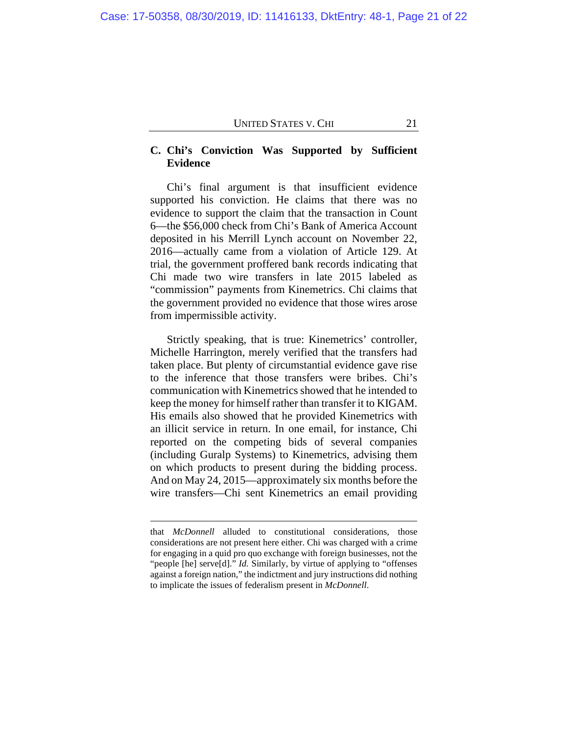## **C. Chi's Conviction Was Supported by Sufficient Evidence**

Chi's final argument is that insufficient evidence supported his conviction. He claims that there was no evidence to support the claim that the transaction in Count 6—the \$56,000 check from Chi's Bank of America Account deposited in his Merrill Lynch account on November 22, 2016—actually came from a violation of Article 129. At trial, the government proffered bank records indicating that Chi made two wire transfers in late 2015 labeled as "commission" payments from Kinemetrics. Chi claims that the government provided no evidence that those wires arose from impermissible activity.

Strictly speaking, that is true: Kinemetrics' controller, Michelle Harrington, merely verified that the transfers had taken place. But plenty of circumstantial evidence gave rise to the inference that those transfers were bribes. Chi's communication with Kinemetrics showed that he intended to keep the money for himself rather than transfer it to KIGAM. His emails also showed that he provided Kinemetrics with an illicit service in return. In one email, for instance, Chi reported on the competing bids of several companies (including Guralp Systems) to Kinemetrics, advising them on which products to present during the bidding process. And on May 24, 2015—approximately six months before the wire transfers—Chi sent Kinemetrics an email providing

that *McDonnell* alluded to constitutional considerations, those considerations are not present here either. Chi was charged with a crime for engaging in a quid pro quo exchange with foreign businesses, not the "people [he] serve[d]." *Id.* Similarly, by virtue of applying to "offenses" against a foreign nation," the indictment and jury instructions did nothing to implicate the issues of federalism present in *McDonnell*.